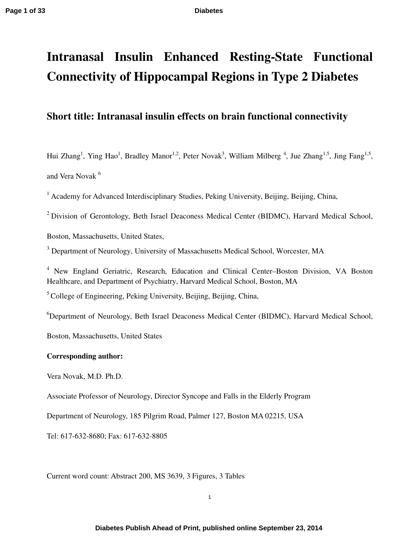# **Intranasal Insulin Enhanced Resting-State Functional Connectivity of Hippocampal Regions in Type 2 Diabetes**

# **Short title: Intranasal insulin effects on brain functional connectivity**

Hui Zhang<sup>1</sup>, Ying Hao<sup>1</sup>, Bradley Manor<sup>1,2</sup>, Peter Novak<sup>3</sup>, William Milberg<sup>4</sup>, Jue Zhang<sup>1,5</sup>, Jing Fang<sup>1,5</sup>, and Vera Novak<sup>6</sup>

<sup>1</sup> Academy for Advanced Interdisciplinary Studies, Peking University, Beijing, Beijing, China,

<sup>2</sup> Division of Gerontology, Beth Israel Deaconess Medical Center (BIDMC), Harvard Medical School,

Boston, Massachusetts, United States,

<sup>3</sup> Department of Neurology, University of Massachusetts Medical School, Worcester, MA

<sup>4</sup> New England Geriatric, Research, Education and Clinical Center-Boston Division, VA Boston Healthcare, and Department of Psychiatry, Harvard Medical School, Boston, MA

<sup>5</sup> College of Engineering, Peking University, Beijing, Beijing, China,

<sup>6</sup>Department of Neurology, Beth Israel Deaconess Medical Center (BIDMC), Harvard Medical School,

Boston, Massachusetts, United States

### **Corresponding author:**

Vera Novak, M.D. Ph.D.

Associate Professor of Neurology, Director Syncope and Falls in the Elderly Program

Department of Neurology, 185 Pilgrim Road, Palmer 127, Boston MA 02215, USA

Tel: 617-632-8680; Fax: 617-632-8805

Current word count: Abstract 200, MS 3639, 3 Figures, 3 Tables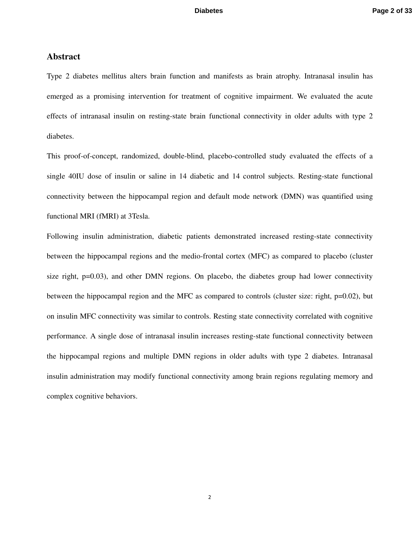### **Abstract**

Type 2 diabetes mellitus alters brain function and manifests as brain atrophy. Intranasal insulin has emerged as a promising intervention for treatment of cognitive impairment. We evaluated the acute effects of intranasal insulin on resting-state brain functional connectivity in older adults with type 2 diabetes.

This proof-of-concept, randomized, double-blind, placebo-controlled study evaluated the effects of a single 40IU dose of insulin or saline in 14 diabetic and 14 control subjects. Resting-state functional connectivity between the hippocampal region and default mode network (DMN) was quantified using functional MRI (fMRI) at 3Tesla.

Following insulin administration, diabetic patients demonstrated increased resting-state connectivity between the hippocampal regions and the medio-frontal cortex (MFC) as compared to placebo (cluster size right, p=0.03), and other DMN regions. On placebo, the diabetes group had lower connectivity between the hippocampal region and the MFC as compared to controls (cluster size: right, p=0.02), but on insulin MFC connectivity was similar to controls. Resting state connectivity correlated with cognitive performance. A single dose of intranasal insulin increases resting-state functional connectivity between the hippocampal regions and multiple DMN regions in older adults with type 2 diabetes. Intranasal insulin administration may modify functional connectivity among brain regions regulating memory and complex cognitive behaviors.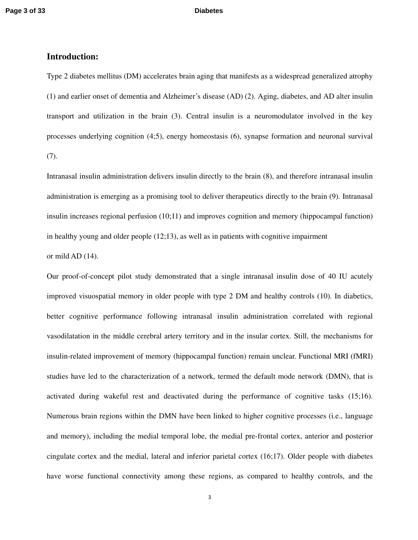### **Introduction:**

Type 2 diabetes mellitus (DM) accelerates brain aging that manifests as a widespread generalized atrophy (1) and earlier onset of dementia and Alzheimer's disease (AD) (2). Aging, diabetes, and AD alter insulin transport and utilization in the brain (3). Central insulin is a neuromodulator involved in the key processes underlying cognition (4;5), energy homeostasis (6), synapse formation and neuronal survival  $(7).$ 

Intranasal insulin administration delivers insulin directly to the brain (8), and therefore intranasal insulin administration is emerging as a promising tool to deliver therapeutics directly to the brain (9). Intranasal insulin increases regional perfusion (10;11) and improves cognition and memory (hippocampal function) in healthy young and older people (12;13), as well as in patients with cognitive impairment or mild AD (14).

Our proof-of-concept pilot study demonstrated that a single intranasal insulin dose of 40 IU acutely improved visuospatial memory in older people with type 2 DM and healthy controls (10). In diabetics, better cognitive performance following intranasal insulin administration correlated with regional vasodilatation in the middle cerebral artery territory and in the insular cortex. Still, the mechanisms for insulin-related improvement of memory (hippocampal function) remain unclear. Functional MRI (fMRI) studies have led to the characterization of a network, termed the default mode network (DMN), that is activated during wakeful rest and deactivated during the performance of cognitive tasks (15;16). Numerous brain regions within the DMN have been linked to higher cognitive processes (i.e., language and memory), including the medial temporal lobe, the medial pre-frontal cortex, anterior and posterior cingulate cortex and the medial, lateral and inferior parietal cortex (16;17). Older people with diabetes have worse functional connectivity among these regions, as compared to healthy controls, and the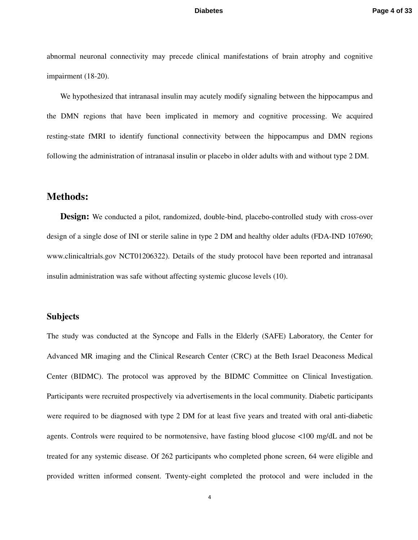abnormal neuronal connectivity may precede clinical manifestations of brain atrophy and cognitive impairment (18-20).

We hypothesized that intranasal insulin may acutely modify signaling between the hippocampus and the DMN regions that have been implicated in memory and cognitive processing. We acquired resting-state fMRI to identify functional connectivity between the hippocampus and DMN regions following the administration of intranasal insulin or placebo in older adults with and without type 2 DM.

## **Methods:**

**Design:** We conducted a pilot, randomized, double-bind, placebo-controlled study with cross-over design of a single dose of INI or sterile saline in type 2 DM and healthy older adults (FDA-IND 107690; www.clinicaltrials.gov NCT01206322). Details of the study protocol have been reported and intranasal insulin administration was safe without affecting systemic glucose levels (10).

### **Subjects**

The study was conducted at the Syncope and Falls in the Elderly (SAFE) Laboratory, the Center for Advanced MR imaging and the Clinical Research Center (CRC) at the Beth Israel Deaconess Medical Center (BIDMC). The protocol was approved by the BIDMC Committee on Clinical Investigation. Participants were recruited prospectively via advertisements in the local community. Diabetic participants were required to be diagnosed with type 2 DM for at least five years and treated with oral anti-diabetic agents. Controls were required to be normotensive, have fasting blood glucose <100 mg/dL and not be treated for any systemic disease. Of 262 participants who completed phone screen, 64 were eligible and provided written informed consent. Twenty-eight completed the protocol and were included in the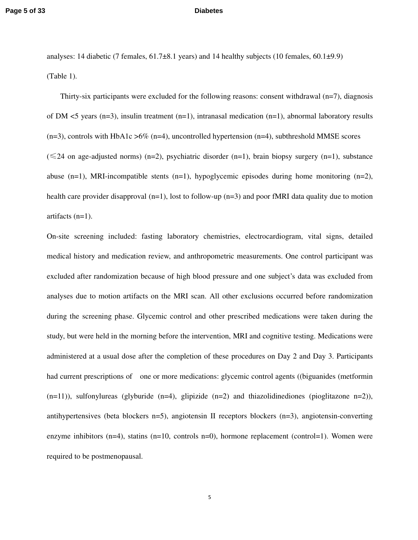analyses: 14 diabetic (7 females, 61.7±8.1 years) and 14 healthy subjects (10 females, 60.1±9.9) (Table 1).

Thirty-six participants were excluded for the following reasons: consent withdrawal (n=7), diagnosis of DM <5 years (n=3), insulin treatment (n=1), intranasal medication (n=1), abnormal laboratory results  $(n=3)$ , controls with HbA1c >6% (n=4), uncontrolled hypertension (n=4), subthreshold MMSE scores  $(\leq 24$  on age-adjusted norms) (n=2), psychiatric disorder (n=1), brain biopsy surgery (n=1), substance abuse (n=1), MRI-incompatible stents (n=1), hypoglycemic episodes during home monitoring (n=2), health care provider disapproval (n=1), lost to follow-up (n=3) and poor fMRI data quality due to motion artifacts (n=1).

On-site screening included: fasting laboratory chemistries, electrocardiogram, vital signs, detailed medical history and medication review, and anthropometric measurements. One control participant was excluded after randomization because of high blood pressure and one subject's data was excluded from analyses due to motion artifacts on the MRI scan. All other exclusions occurred before randomization during the screening phase. Glycemic control and other prescribed medications were taken during the study, but were held in the morning before the intervention, MRI and cognitive testing. Medications were administered at a usual dose after the completion of these procedures on Day 2 and Day 3. Participants had current prescriptions of one or more medications: glycemic control agents ((biguanides (metformin (n=11)), sulfonylureas (glyburide (n=4), glipizide (n=2) and thiazolidinediones (pioglitazone n=2)), antihypertensives (beta blockers n=5), angiotensin II receptors blockers (n=3), angiotensin-converting enzyme inhibitors (n=4), statins (n=10, controls n=0), hormone replacement (control=1). Women were required to be postmenopausal.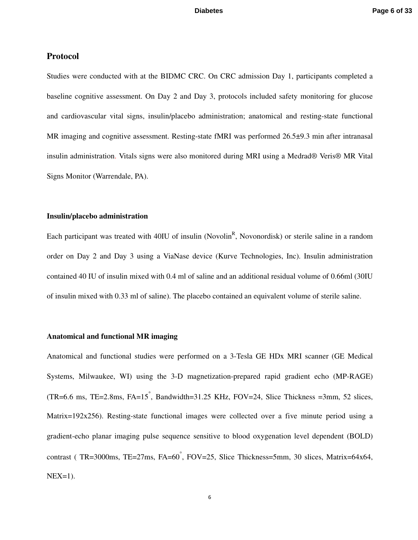### **Protocol**

Studies were conducted with at the BIDMC CRC. On CRC admission Day 1, participants completed a baseline cognitive assessment. On Day 2 and Day 3, protocols included safety monitoring for glucose and cardiovascular vital signs, insulin/placebo administration; anatomical and resting-state functional MR imaging and cognitive assessment. Resting-state fMRI was performed 26.5 $\pm$ 9.3 min after intranasal insulin administration. Vitals signs were also monitored during MRI using a Medrad® Veris® MR Vital Signs Monitor (Warrendale, PA).

### **Insulin/placebo administration**

Each participant was treated with 40IU of insulin (Novolin<sup>R</sup>, Novonordisk) or sterile saline in a random order on Day 2 and Day 3 using a ViaNase device (Kurve Technologies, Inc). Insulin administration contained 40 IU of insulin mixed with 0.4 ml of saline and an additional residual volume of 0.66ml (30IU of insulin mixed with 0.33 ml of saline). The placebo contained an equivalent volume of sterile saline.

### **Anatomical and functional MR imaging**

Anatomical and functional studies were performed on a 3-Tesla GE HDx MRI scanner (GE Medical Systems, Milwaukee, WI) using the 3-D magnetization-prepared rapid gradient echo (MP-RAGE) (TR=6.6 ms, TE=2.8ms, FA=15°, Bandwidth=31.25 KHz, FOV=24, Slice Thickness =3mm, 52 slices, Matrix=192x256). Resting-state functional images were collected over a five minute period using a gradient-echo planar imaging pulse sequence sensitive to blood oxygenation level dependent (BOLD) contrast ( TR=3000ms, TE=27ms, FA=60◦ , FOV=25, Slice Thickness=5mm, 30 slices, Matrix=64x64,  $NEX=1$ ).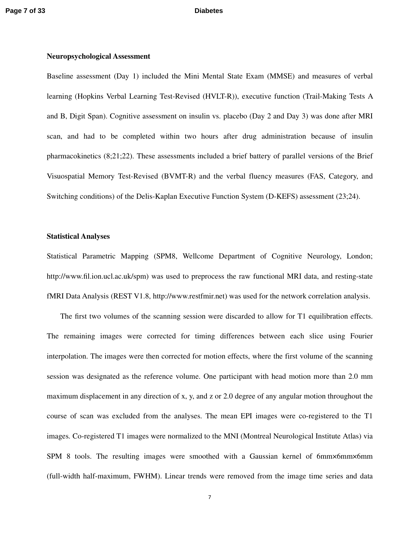### **Neuropsychological Assessment**

Baseline assessment (Day 1) included the Mini Mental State Exam (MMSE) and measures of verbal learning (Hopkins Verbal Learning Test-Revised (HVLT-R)), executive function (Trail-Making Tests A and B, Digit Span). Cognitive assessment on insulin vs. placebo (Day 2 and Day 3) was done after MRI scan, and had to be completed within two hours after drug administration because of insulin pharmacokinetics (8;21;22). These assessments included a brief battery of parallel versions of the Brief Visuospatial Memory Test-Revised (BVMT-R) and the verbal fluency measures (FAS, Category, and Switching conditions) of the Delis-Kaplan Executive Function System (D-KEFS) assessment (23;24).

### **Statistical Analyses**

Statistical Parametric Mapping (SPM8, Wellcome Department of Cognitive Neurology, London; http://www.fil.ion.ucl.ac.uk/spm) was used to preprocess the raw functional MRI data, and resting-state fMRI Data Analysis (REST V1.8, http://www.restfmir.net) was used for the network correlation analysis.

The first two volumes of the scanning session were discarded to allow for T1 equilibration effects. The remaining images were corrected for timing differences between each slice using Fourier interpolation. The images were then corrected for motion effects, where the first volume of the scanning session was designated as the reference volume. One participant with head motion more than 2.0 mm maximum displacement in any direction of x, y, and z or 2.0 degree of any angular motion throughout the course of scan was excluded from the analyses. The mean EPI images were co-registered to the T1 images. Co-registered T1 images were normalized to the MNI (Montreal Neurological Institute Atlas) via SPM 8 tools. The resulting images were smoothed with a Gaussian kernel of 6mm×6mm×6mm (full-width half-maximum, FWHM). Linear trends were removed from the image time series and data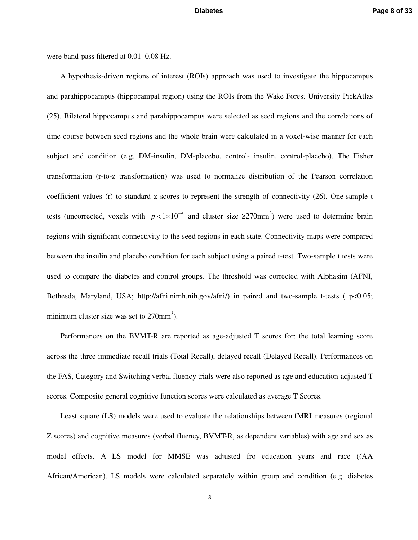were band-pass filtered at 0.01–0.08 Hz.

A hypothesis-driven regions of interest (ROIs) approach was used to investigate the hippocampus and parahippocampus (hippocampal region) using the ROIs from the Wake Forest University PickAtlas (25). Bilateral hippocampus and parahippocampus were selected as seed regions and the correlations of time course between seed regions and the whole brain were calculated in a voxel-wise manner for each subject and condition (e.g. DM-insulin, DM-placebo, control- insulin, control-placebo). The Fisher transformation (r-to-z transformation) was used to normalize distribution of the Pearson correlation coefficient values (r) to standard z scores to represent the strength of connectivity (26). One-sample t tests (uncorrected, voxels with  $p < 1 \times 10^{-9}$  and cluster size ≥270mm<sup>3</sup>) were used to determine brain regions with significant connectivity to the seed regions in each state. Connectivity maps were compared between the insulin and placebo condition for each subject using a paired t-test. Two-sample t tests were used to compare the diabetes and control groups. The threshold was corrected with Alphasim (AFNI, Bethesda, Maryland, USA; http://afni.nimh.nih.gov/afni/) in paired and two-sample t-tests (  $p<0.05$ ; minimum cluster size was set to  $270$ mm<sup>3</sup>).

Performances on the BVMT-R are reported as age-adjusted T scores for: the total learning score across the three immediate recall trials (Total Recall), delayed recall (Delayed Recall). Performances on the FAS, Category and Switching verbal fluency trials were also reported as age and education-adjusted T scores. Composite general cognitive function scores were calculated as average T Scores.

Least square (LS) models were used to evaluate the relationships between fMRI measures (regional Z scores) and cognitive measures (verbal fluency, BVMT-R, as dependent variables) with age and sex as model effects. A LS model for MMSE was adjusted fro education years and race ((AA African/American). LS models were calculated separately within group and condition (e.g. diabetes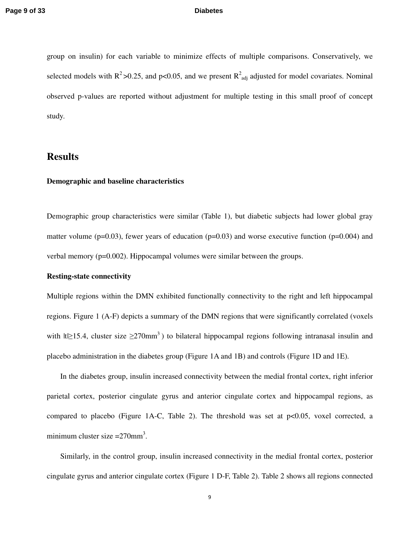group on insulin) for each variable to minimize effects of multiple comparisons. Conservatively, we selected models with  $R^2 > 0.25$ , and p<0.05, and we present  $R^2$ <sub>adj</sub> adjusted for model covariates. Nominal observed p-values are reported without adjustment for multiple testing in this small proof of concept study.

# **Results**

### **Demographic and baseline characteristics**

Demographic group characteristics were similar (Table 1), but diabetic subjects had lower global gray matter volume (p=0.03), fewer years of education (p=0.03) and worse executive function (p=0.004) and verbal memory (p=0.002). Hippocampal volumes were similar between the groups.

### **Resting-state connectivity**

Multiple regions within the DMN exhibited functionally connectivity to the right and left hippocampal regions. Figure 1 (A-F) depicts a summary of the DMN regions that were significantly correlated (voxels with  $|t| \geq 15.4$ , cluster size  $\geq 270$ mm<sup>3</sup>) to bilateral hippocampal regions following intranasal insulin and placebo administration in the diabetes group (Figure 1A and 1B) and controls (Figure 1D and 1E).

In the diabetes group, insulin increased connectivity between the medial frontal cortex, right inferior parietal cortex, posterior cingulate gyrus and anterior cingulate cortex and hippocampal regions, as compared to placebo (Figure 1A-C, Table 2). The threshold was set at p<0.05, voxel corrected, a minimum cluster size  $=270$ mm<sup>3</sup>.

Similarly, in the control group, insulin increased connectivity in the medial frontal cortex, posterior cingulate gyrus and anterior cingulate cortex (Figure 1 D-F, Table 2). Table 2 shows all regions connected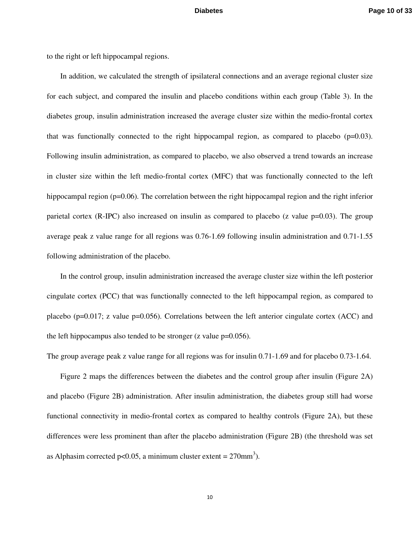to the right or left hippocampal regions.

In addition, we calculated the strength of ipsilateral connections and an average regional cluster size for each subject, and compared the insulin and placebo conditions within each group (Table 3). In the diabetes group, insulin administration increased the average cluster size within the medio-frontal cortex that was functionally connected to the right hippocampal region, as compared to placebo ( $p=0.03$ ). Following insulin administration, as compared to placebo, we also observed a trend towards an increase in cluster size within the left medio-frontal cortex (MFC) that was functionally connected to the left hippocampal region (p=0.06). The correlation between the right hippocampal region and the right inferior parietal cortex (R-IPC) also increased on insulin as compared to placebo (z value  $p=0.03$ ). The group average peak z value range for all regions was 0.76-1.69 following insulin administration and 0.71-1.55 following administration of the placebo.

In the control group, insulin administration increased the average cluster size within the left posterior cingulate cortex (PCC) that was functionally connected to the left hippocampal region, as compared to placebo (p=0.017; z value p=0.056). Correlations between the left anterior cingulate cortex (ACC) and the left hippocampus also tended to be stronger  $(z$  value  $p=0.056$ ).

The group average peak z value range for all regions was for insulin 0.71-1.69 and for placebo 0.73-1.64.

Figure 2 maps the differences between the diabetes and the control group after insulin (Figure 2A) and placebo (Figure 2B) administration. After insulin administration, the diabetes group still had worse functional connectivity in medio-frontal cortex as compared to healthy controls (Figure 2A), but these differences were less prominent than after the placebo administration (Figure 2B) (the threshold was set as Alphasim corrected p<0.05, a minimum cluster extent =  $270$ mm<sup>3</sup>).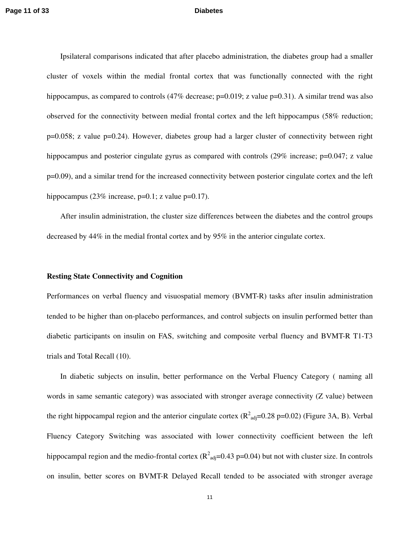Ipsilateral comparisons indicated that after placebo administration, the diabetes group had a smaller cluster of voxels within the medial frontal cortex that was functionally connected with the right hippocampus, as compared to controls  $(47\%$  decrease;  $p=0.019$ ; z value  $p=0.31$ ). A similar trend was also observed for the connectivity between medial frontal cortex and the left hippocampus (58% reduction; p=0.058; z value p=0.24). However, diabetes group had a larger cluster of connectivity between right hippocampus and posterior cingulate gyrus as compared with controls (29% increase; p=0.047; z value p=0.09), and a similar trend for the increased connectivity between posterior cingulate cortex and the left hippocampus (23% increase,  $p=0.1$ ; z value  $p=0.17$ ).

After insulin administration, the cluster size differences between the diabetes and the control groups decreased by 44% in the medial frontal cortex and by 95% in the anterior cingulate cortex.

### **Resting State Connectivity and Cognition**

Performances on verbal fluency and visuospatial memory (BVMT-R) tasks after insulin administration tended to be higher than on-placebo performances, and control subjects on insulin performed better than diabetic participants on insulin on FAS, switching and composite verbal fluency and BVMT-R T1-T3 trials and Total Recall (10).

In diabetic subjects on insulin, better performance on the Verbal Fluency Category ( naming all words in same semantic category) was associated with stronger average connectivity (Z value) between the right hippocampal region and the anterior cingulate cortex  $(R^2_{adj}=0.28 \text{ p}=0.02)$  (Figure 3A, B). Verbal Fluency Category Switching was associated with lower connectivity coefficient between the left hippocampal region and the medio-frontal cortex ( $R^2$ <sub>adj</sub>=0.43 p=0.04) but not with cluster size. In controls on insulin, better scores on BVMT-R Delayed Recall tended to be associated with stronger average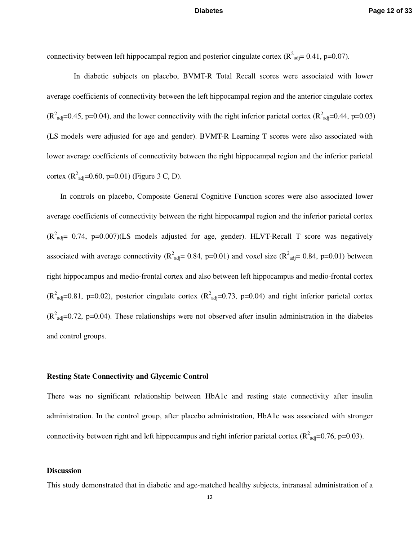connectivity between left hippocampal region and posterior cingulate cortex  $(R^2_{adj}=0.41, p=0.07)$ .

 In diabetic subjects on placebo, BVMT-R Total Recall scores were associated with lower average coefficients of connectivity between the left hippocampal region and the anterior cingulate cortex  $(R^2_{\text{adj}}=0.45, p=0.04)$ , and the lower connectivity with the right inferior parietal cortex  $(R^2_{\text{adj}}=0.44, p=0.03)$ (LS models were adjusted for age and gender). BVMT-R Learning T scores were also associated with lower average coefficients of connectivity between the right hippocampal region and the inferior parietal cortex  $(R^2_{\text{adj}} = 0.60, p = 0.01)$  (Figure 3 C, D).

In controls on placebo, Composite General Cognitive Function scores were also associated lower average coefficients of connectivity between the right hippocampal region and the inferior parietal cortex  $(R^2_{\text{adj}}= 0.74, p=0.007)$ (LS models adjusted for age, gender). HLVT-Recall T score was negatively associated with average connectivity ( $R^2_{\text{adj}}$  = 0.84, p=0.01) and voxel size ( $R^2_{\text{adj}}$  = 0.84, p=0.01) between right hippocampus and medio-frontal cortex and also between left hippocampus and medio-frontal cortex  $(R^2_{\text{adj}}=0.81, \text{ p=0.02})$ , posterior cingulate cortex  $(R^2_{\text{adj}}=0.73, \text{ p=0.04})$  and right inferior parietal cortex  $(R<sup>2</sup><sub>adj</sub>=0.72, p=0.04)$ . These relationships were not observed after insulin administration in the diabetes and control groups.

### **Resting State Connectivity and Glycemic Control**

There was no significant relationship between HbA1c and resting state connectivity after insulin administration. In the control group, after placebo administration, HbA1c was associated with stronger connectivity between right and left hippocampus and right inferior parietal cortex ( $R^2$ <sub>adj</sub>=0.76, p=0.03).

### **Discussion**

This study demonstrated that in diabetic and age-matched healthy subjects, intranasal administration of a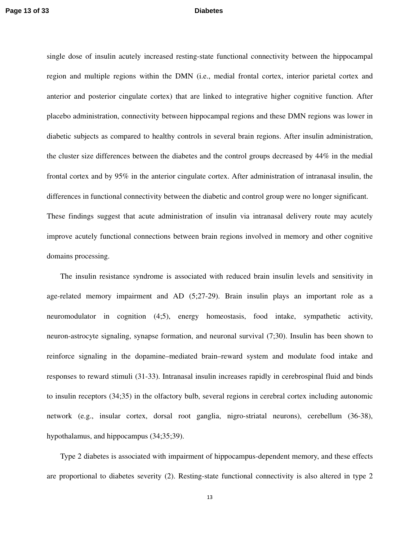single dose of insulin acutely increased resting-state functional connectivity between the hippocampal region and multiple regions within the DMN (i.e., medial frontal cortex, interior parietal cortex and anterior and posterior cingulate cortex) that are linked to integrative higher cognitive function. After placebo administration, connectivity between hippocampal regions and these DMN regions was lower in diabetic subjects as compared to healthy controls in several brain regions. After insulin administration, the cluster size differences between the diabetes and the control groups decreased by 44% in the medial frontal cortex and by 95% in the anterior cingulate cortex. After administration of intranasal insulin, the differences in functional connectivity between the diabetic and control group were no longer significant. These findings suggest that acute administration of insulin via intranasal delivery route may acutely improve acutely functional connections between brain regions involved in memory and other cognitive domains processing.

 The insulin resistance syndrome is associated with reduced brain insulin levels and sensitivity in age-related memory impairment and AD (5;27-29). Brain insulin plays an important role as a neuromodulator in cognition (4;5), energy homeostasis, food intake, sympathetic activity, neuron-astrocyte signaling, synapse formation, and neuronal survival (7;30). Insulin has been shown to reinforce signaling in the dopamine–mediated brain–reward system and modulate food intake and responses to reward stimuli (31-33). Intranasal insulin increases rapidly in cerebrospinal fluid and binds to insulin receptors (34;35) in the olfactory bulb, several regions in cerebral cortex including autonomic network (e.g., insular cortex, dorsal root ganglia, nigro-striatal neurons), cerebellum (36-38), hypothalamus, and hippocampus (34;35;39).

Type 2 diabetes is associated with impairment of hippocampus-dependent memory, and these effects are proportional to diabetes severity (2). Resting-state functional connectivity is also altered in type 2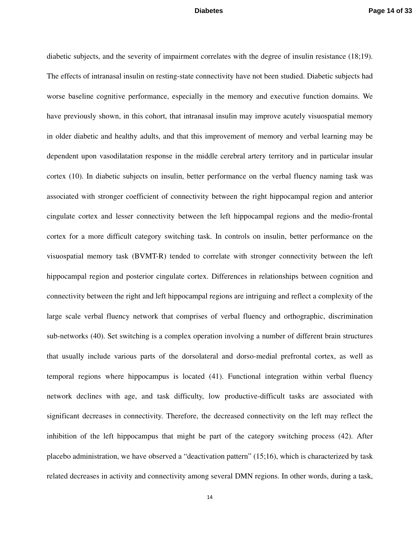diabetic subjects, and the severity of impairment correlates with the degree of insulin resistance (18;19). The effects of intranasal insulin on resting-state connectivity have not been studied. Diabetic subjects had worse baseline cognitive performance, especially in the memory and executive function domains. We have previously shown, in this cohort, that intranasal insulin may improve acutely visuospatial memory in older diabetic and healthy adults, and that this improvement of memory and verbal learning may be dependent upon vasodilatation response in the middle cerebral artery territory and in particular insular cortex (10). In diabetic subjects on insulin, better performance on the verbal fluency naming task was associated with stronger coefficient of connectivity between the right hippocampal region and anterior cingulate cortex and lesser connectivity between the left hippocampal regions and the medio-frontal cortex for a more difficult category switching task. In controls on insulin, better performance on the visuospatial memory task (BVMT-R) tended to correlate with stronger connectivity between the left hippocampal region and posterior cingulate cortex. Differences in relationships between cognition and connectivity between the right and left hippocampal regions are intriguing and reflect a complexity of the large scale verbal fluency network that comprises of verbal fluency and orthographic, discrimination sub-networks (40). Set switching is a complex operation involving a number of different brain structures that usually include various parts of the dorsolateral and dorso-medial prefrontal cortex, as well as temporal regions where hippocampus is located (41). Functional integration within verbal fluency network declines with age, and task difficulty, low productive-difficult tasks are associated with significant decreases in connectivity. Therefore, the decreased connectivity on the left may reflect the inhibition of the left hippocampus that might be part of the category switching process (42). After placebo administration, we have observed a "deactivation pattern" (15;16), which is characterized by task related decreases in activity and connectivity among several DMN regions. In other words, during a task,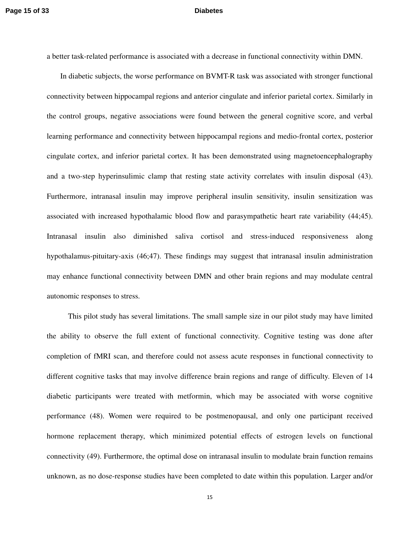a better task-related performance is associated with a decrease in functional connectivity within DMN.

In diabetic subjects, the worse performance on BVMT-R task was associated with stronger functional connectivity between hippocampal regions and anterior cingulate and inferior parietal cortex. Similarly in the control groups, negative associations were found between the general cognitive score, and verbal learning performance and connectivity between hippocampal regions and medio-frontal cortex, posterior cingulate cortex, and inferior parietal cortex. It has been demonstrated using magnetoencephalography and a two-step hyperinsulimic clamp that resting state activity correlates with insulin disposal (43). Furthermore, intranasal insulin may improve peripheral insulin sensitivity, insulin sensitization was associated with increased hypothalamic blood flow and parasympathetic heart rate variability (44;45). Intranasal insulin also diminished saliva cortisol and stress-induced responsiveness along hypothalamus-pituitary-axis (46;47). These findings may suggest that intranasal insulin administration may enhance functional connectivity between DMN and other brain regions and may modulate central autonomic responses to stress.

 This pilot study has several limitations. The small sample size in our pilot study may have limited the ability to observe the full extent of functional connectivity. Cognitive testing was done after completion of fMRI scan, and therefore could not assess acute responses in functional connectivity to different cognitive tasks that may involve difference brain regions and range of difficulty. Eleven of 14 diabetic participants were treated with metformin, which may be associated with worse cognitive performance (48). Women were required to be postmenopausal, and only one participant received hormone replacement therapy, which minimized potential effects of estrogen levels on functional connectivity (49). Furthermore, the optimal dose on intranasal insulin to modulate brain function remains unknown, as no dose-response studies have been completed to date within this population. Larger and/or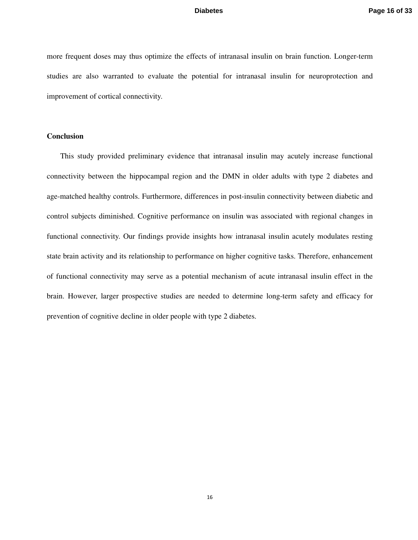more frequent doses may thus optimize the effects of intranasal insulin on brain function. Longer-term studies are also warranted to evaluate the potential for intranasal insulin for neuroprotection and improvement of cortical connectivity.

### **Conclusion**

This study provided preliminary evidence that intranasal insulin may acutely increase functional connectivity between the hippocampal region and the DMN in older adults with type 2 diabetes and age-matched healthy controls. Furthermore, differences in post-insulin connectivity between diabetic and control subjects diminished. Cognitive performance on insulin was associated with regional changes in functional connectivity. Our findings provide insights how intranasal insulin acutely modulates resting state brain activity and its relationship to performance on higher cognitive tasks. Therefore, enhancement of functional connectivity may serve as a potential mechanism of acute intranasal insulin effect in the brain. However, larger prospective studies are needed to determine long-term safety and efficacy for prevention of cognitive decline in older people with type 2 diabetes.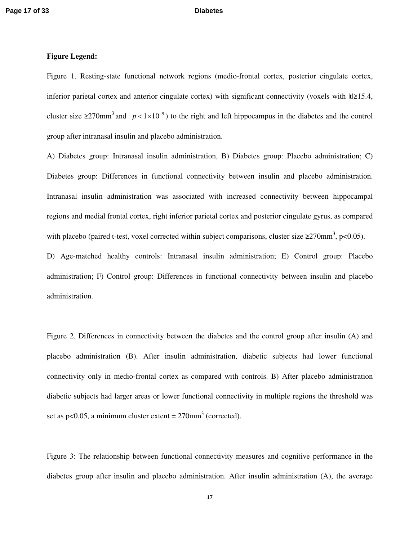### **Figure Legend:**

Figure 1. Resting-state functional network regions (medio-frontal cortex, posterior cingulate cortex, inferior parietal cortex and anterior cingulate cortex) with significant connectivity (voxels with  $|t| \geq 15.4$ , cluster size ≥270mm<sup>3</sup> and  $p < 1 \times 10^{-9}$ ) to the right and left hippocampus in the diabetes and the control group after intranasal insulin and placebo administration.

A) Diabetes group: Intranasal insulin administration, B) Diabetes group: Placebo administration; C) Diabetes group: Differences in functional connectivity between insulin and placebo administration. Intranasal insulin administration was associated with increased connectivity between hippocampal regions and medial frontal cortex, right inferior parietal cortex and posterior cingulate gyrus, as compared with placebo (paired t-test, voxel corrected within subject comparisons, cluster size  $\geq$ 270mm<sup>3</sup>, p<0.05).

D) Age-matched healthy controls: Intranasal insulin administration; E) Control group: Placebo administration; F) Control group: Differences in functional connectivity between insulin and placebo administration.

Figure 2. Differences in connectivity between the diabetes and the control group after insulin (A) and placebo administration (B). After insulin administration, diabetic subjects had lower functional connectivity only in medio-frontal cortex as compared with controls. B) After placebo administration diabetic subjects had larger areas or lower functional connectivity in multiple regions the threshold was set as  $p<0.05$ , a minimum cluster extent =  $270$ mm<sup>3</sup> (corrected).

Figure 3: The relationship between functional connectivity measures and cognitive performance in the diabetes group after insulin and placebo administration. After insulin administration (A), the average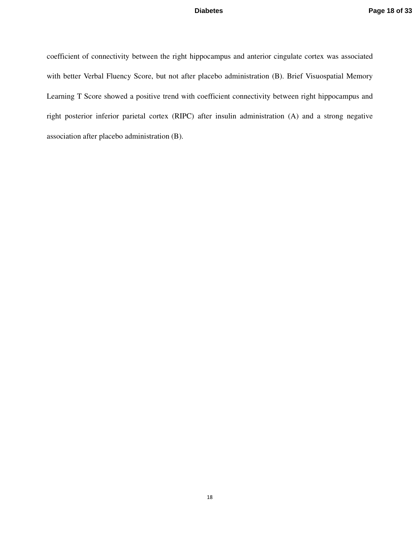coefficient of connectivity between the right hippocampus and anterior cingulate cortex was associated with better Verbal Fluency Score, but not after placebo administration (B). Brief Visuospatial Memory Learning T Score showed a positive trend with coefficient connectivity between right hippocampus and right posterior inferior parietal cortex (RIPC) after insulin administration (A) and a strong negative association after placebo administration (B).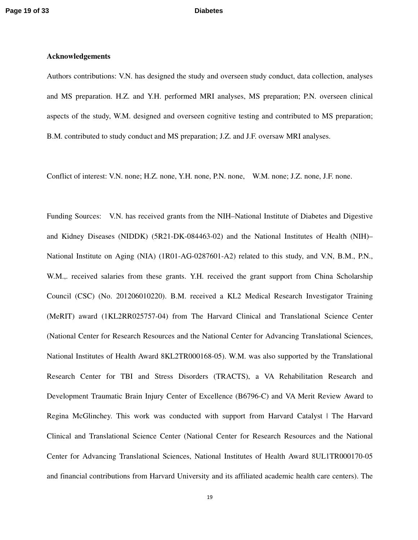### **Acknowledgements**

Authors contributions: V.N. has designed the study and overseen study conduct, data collection, analyses and MS preparation. H.Z. and Y.H. performed MRI analyses, MS preparation; P.N. overseen clinical aspects of the study, W.M. designed and overseen cognitive testing and contributed to MS preparation; B.M. contributed to study conduct and MS preparation; J.Z. and J.F. oversaw MRI analyses.

Conflict of interest: V.N. none; H.Z. none, Y.H. none, P.N. none, W.M. none; J.Z. none, J.F. none.

Funding Sources: V.N. has received grants from the NIH–National Institute of Diabetes and Digestive and Kidney Diseases (NIDDK) (5R21-DK-084463-02) and the National Institutes of Health (NIH)– National Institute on Aging (NIA) (1R01-AG-0287601-A2) related to this study, and V.N, B.M., P.N., W.M.,. received salaries from these grants. Y.H. received the grant support from China Scholarship Council (CSC) (No. 201206010220). B.M. received a KL2 Medical Research Investigator Training (MeRIT) award (1KL2RR025757-04) from The Harvard Clinical and Translational Science Center (National Center for Research Resources and the National Center for Advancing Translational Sciences, National Institutes of Health Award 8KL2TR000168-05). W.M. was also supported by the Translational Research Center for TBI and Stress Disorders (TRACTS), a VA Rehabilitation Research and Development Traumatic Brain Injury Center of Excellence (B6796-C) and VA Merit Review Award to Regina McGlinchey. This work was conducted with support from Harvard Catalyst | The Harvard Clinical and Translational Science Center (National Center for Research Resources and the National Center for Advancing Translational Sciences, National Institutes of Health Award 8UL1TR000170-05 and financial contributions from Harvard University and its affiliated academic health care centers). The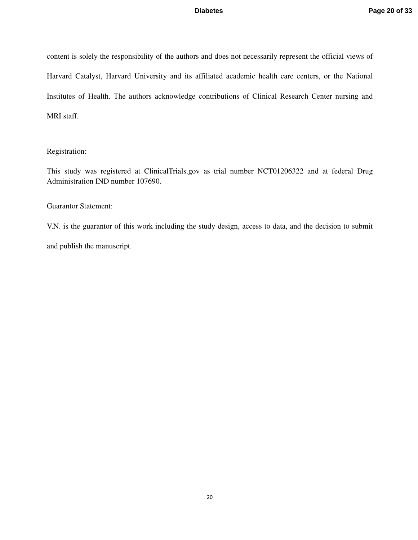content is solely the responsibility of the authors and does not necessarily represent the official views of Harvard Catalyst, Harvard University and its affiliated academic health care centers, or the National Institutes of Health. The authors acknowledge contributions of Clinical Research Center nursing and MRI staff.

### Registration:

This study was registered at ClinicalTrials.gov as trial number NCT01206322 and at federal Drug Administration IND number 107690.

### Guarantor Statement:

V.N. is the guarantor of this work including the study design, access to data, and the decision to submit and publish the manuscript.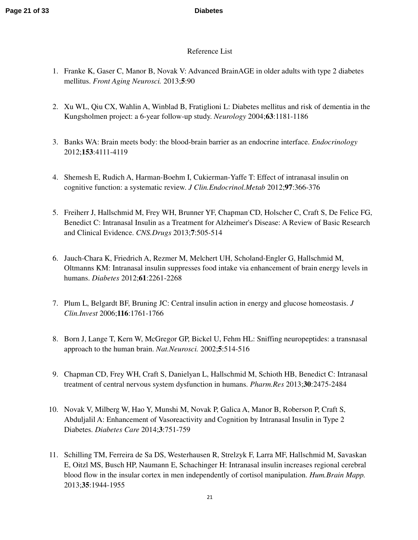### Reference List

- 1. Franke K, Gaser C, Manor B, Novak V: Advanced BrainAGE in older adults with type 2 diabetes mellitus. *Front Aging Neurosci.* 2013;**5**:90
- 2. Xu WL, Qiu CX, Wahlin A, Winblad B, Fratiglioni L: Diabetes mellitus and risk of dementia in the Kungsholmen project: a 6-year follow-up study. *Neurology* 2004;**63**:1181-1186
- 3. Banks WA: Brain meets body: the blood-brain barrier as an endocrine interface. *Endocrinology* 2012;**153**:4111-4119
- 4. Shemesh E, Rudich A, Harman-Boehm I, Cukierman-Yaffe T: Effect of intranasal insulin on cognitive function: a systematic review. *J Clin.Endocrinol.Metab* 2012;**97**:366-376
- 5. Freiherr J, Hallschmid M, Frey WH, Brunner YF, Chapman CD, Holscher C, Craft S, De Felice FG, Benedict C: Intranasal Insulin as a Treatment for Alzheimer's Disease: A Review of Basic Research and Clinical Evidence. *CNS.Drugs* 2013;**7**:505-514
- 6. Jauch-Chara K, Friedrich A, Rezmer M, Melchert UH, Scholand-Engler G, Hallschmid M, Oltmanns KM: Intranasal insulin suppresses food intake via enhancement of brain energy levels in humans. *Diabetes* 2012;**61**:2261-2268
- 7. Plum L, Belgardt BF, Bruning JC: Central insulin action in energy and glucose homeostasis. *J Clin.Invest* 2006;**116**:1761-1766
- 8. Born J, Lange T, Kern W, McGregor GP, Bickel U, Fehm HL: Sniffing neuropeptides: a transnasal approach to the human brain. *Nat.Neurosci.* 2002;**5**:514-516
- 9. Chapman CD, Frey WH, Craft S, Danielyan L, Hallschmid M, Schioth HB, Benedict C: Intranasal treatment of central nervous system dysfunction in humans. *Pharm.Res* 2013;**30**:2475-2484
- 10. Novak V, Milberg W, Hao Y, Munshi M, Novak P, Galica A, Manor B, Roberson P, Craft S, Abduljalil A: Enhancement of Vasoreactivity and Cognition by Intranasal Insulin in Type 2 Diabetes. *Diabetes Care* 2014;**3**:751-759
- 11. Schilling TM, Ferreira de Sa DS, Westerhausen R, Strelzyk F, Larra MF, Hallschmid M, Savaskan E, Oitzl MS, Busch HP, Naumann E, Schachinger H: Intranasal insulin increases regional cerebral blood flow in the insular cortex in men independently of cortisol manipulation. *Hum.Brain Mapp.* 2013;**35**:1944-1955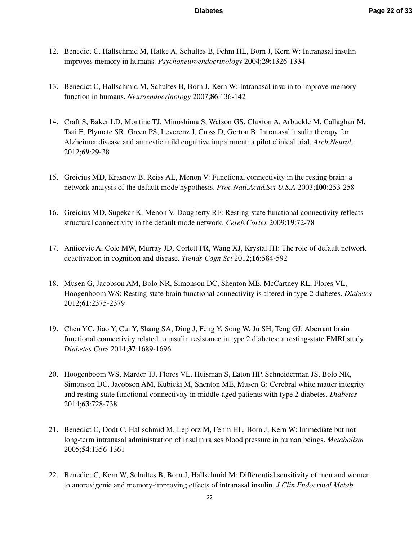- 12. Benedict C, Hallschmid M, Hatke A, Schultes B, Fehm HL, Born J, Kern W: Intranasal insulin improves memory in humans. *Psychoneuroendocrinology* 2004;**29**:1326-1334
- 13. Benedict C, Hallschmid M, Schultes B, Born J, Kern W: Intranasal insulin to improve memory function in humans. *Neuroendocrinology* 2007;**86**:136-142
- 14. Craft S, Baker LD, Montine TJ, Minoshima S, Watson GS, Claxton A, Arbuckle M, Callaghan M, Tsai E, Plymate SR, Green PS, Leverenz J, Cross D, Gerton B: Intranasal insulin therapy for Alzheimer disease and amnestic mild cognitive impairment: a pilot clinical trial. *Arch.Neurol.* 2012;**69**:29-38
- 15. Greicius MD, Krasnow B, Reiss AL, Menon V: Functional connectivity in the resting brain: a network analysis of the default mode hypothesis. *Proc.Natl.Acad.Sci U.S.A* 2003;**100**:253-258
- 16. Greicius MD, Supekar K, Menon V, Dougherty RF: Resting-state functional connectivity reflects structural connectivity in the default mode network. *Cereb.Cortex* 2009;**19**:72-78
- 17. Anticevic A, Cole MW, Murray JD, Corlett PR, Wang XJ, Krystal JH: The role of default network deactivation in cognition and disease. *Trends Cogn Sci* 2012;**16**:584-592
- 18. Musen G, Jacobson AM, Bolo NR, Simonson DC, Shenton ME, McCartney RL, Flores VL, Hoogenboom WS: Resting-state brain functional connectivity is altered in type 2 diabetes. *Diabetes* 2012;**61**:2375-2379
- 19. Chen YC, Jiao Y, Cui Y, Shang SA, Ding J, Feng Y, Song W, Ju SH, Teng GJ: Aberrant brain functional connectivity related to insulin resistance in type 2 diabetes: a resting-state FMRI study. *Diabetes Care* 2014;**37**:1689-1696
- 20. Hoogenboom WS, Marder TJ, Flores VL, Huisman S, Eaton HP, Schneiderman JS, Bolo NR, Simonson DC, Jacobson AM, Kubicki M, Shenton ME, Musen G: Cerebral white matter integrity and resting-state functional connectivity in middle-aged patients with type 2 diabetes. *Diabetes* 2014;**63**:728-738
- 21. Benedict C, Dodt C, Hallschmid M, Lepiorz M, Fehm HL, Born J, Kern W: Immediate but not long-term intranasal administration of insulin raises blood pressure in human beings. *Metabolism* 2005;**54**:1356-1361
- 22. Benedict C, Kern W, Schultes B, Born J, Hallschmid M: Differential sensitivity of men and women to anorexigenic and memory-improving effects of intranasal insulin. *J.Clin.Endocrinol.Metab*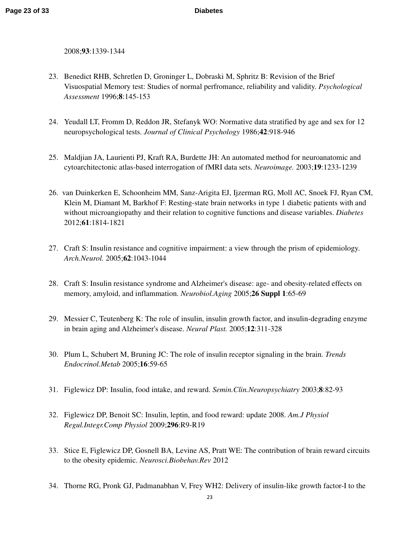2008;**93**:1339-1344

- 23. Benedict RHB, Schretlen D, Groninger L, Dobraski M, Sphritz B: Revision of the Brief Visuospatial Memory test: Studies of normal perfromance, reliability and validity. *Psychological Assessment* 1996;**8**:145-153
- 24. Yeudall LT, Fromm D, Reddon JR, Stefanyk WO: Normative data stratified by age and sex for 12 neuropsychological tests. *Journal of Clinical Psychology* 1986;**42**:918-946
- 25. Maldjian JA, Laurienti PJ, Kraft RA, Burdette JH: An automated method for neuroanatomic and cytoarchitectonic atlas-based interrogation of fMRI data sets. *Neuroimage.* 2003;**19**:1233-1239
- 26. van Duinkerken E, Schoonheim MM, Sanz-Arigita EJ, Ijzerman RG, Moll AC, Snoek FJ, Ryan CM, Klein M, Diamant M, Barkhof F: Resting-state brain networks in type 1 diabetic patients with and without microangiopathy and their relation to cognitive functions and disease variables. *Diabetes* 2012;**61**:1814-1821
- 27. Craft S: Insulin resistance and cognitive impairment: a view through the prism of epidemiology. *Arch.Neurol.* 2005;**62**:1043-1044
- 28. Craft S: Insulin resistance syndrome and Alzheimer's disease: age- and obesity-related effects on memory, amyloid, and inflammation. *Neurobiol.Aging* 2005;**26 Suppl 1**:65-69
- 29. Messier C, Teutenberg K: The role of insulin, insulin growth factor, and insulin-degrading enzyme in brain aging and Alzheimer's disease. *Neural Plast.* 2005;**12**:311-328
- 30. Plum L, Schubert M, Bruning JC: The role of insulin receptor signaling in the brain. *Trends Endocrinol.Metab* 2005;**16**:59-65
- 31. Figlewicz DP: Insulin, food intake, and reward. *Semin.Clin.Neuropsychiatry* 2003;**8**:82-93
- 32. Figlewicz DP, Benoit SC: Insulin, leptin, and food reward: update 2008. *Am.J Physiol Regul.Integr.Comp Physiol* 2009;**296**:R9-R19
- 33. Stice E, Figlewicz DP, Gosnell BA, Levine AS, Pratt WE: The contribution of brain reward circuits to the obesity epidemic. *Neurosci.Biobehav.Rev* 2012
- 34. Thorne RG, Pronk GJ, Padmanabhan V, Frey WH2: Delivery of insulin-like growth factor-I to the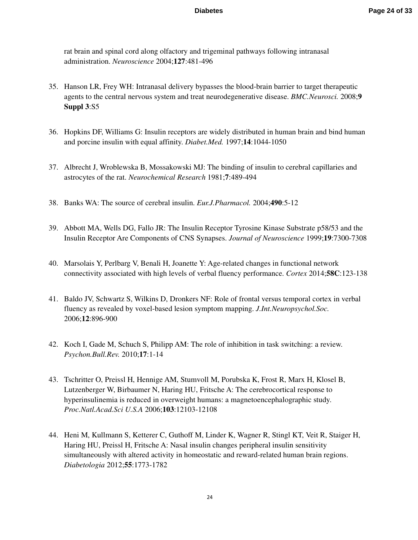rat brain and spinal cord along olfactory and trigeminal pathways following intranasal administration. *Neuroscience* 2004;**127**:481-496

- 35. Hanson LR, Frey WH: Intranasal delivery bypasses the blood-brain barrier to target therapeutic agents to the central nervous system and treat neurodegenerative disease. *BMC.Neurosci.* 2008;**9 Suppl 3**:S5
- 36. Hopkins DF, Williams G: Insulin receptors are widely distributed in human brain and bind human and porcine insulin with equal affinity. *Diabet.Med.* 1997;**14**:1044-1050
- 37. Albrecht J, Wroblewska B, Mossakowski MJ: The binding of insulin to cerebral capillaries and astrocytes of the rat. *Neurochemical Research* 1981;**7**:489-494
- 38. Banks WA: The source of cerebral insulin. *Eur.J.Pharmacol.* 2004;**490**:5-12
- 39. Abbott MA, Wells DG, Fallo JR: The Insulin Receptor Tyrosine Kinase Substrate p58/53 and the Insulin Receptor Are Components of CNS Synapses. *Journal of Neuroscience* 1999;**19**:7300-7308
- 40. Marsolais Y, Perlbarg V, Benali H, Joanette Y: Age-related changes in functional network connectivity associated with high levels of verbal fluency performance. *Cortex* 2014;**58C**:123-138
- 41. Baldo JV, Schwartz S, Wilkins D, Dronkers NF: Role of frontal versus temporal cortex in verbal fluency as revealed by voxel-based lesion symptom mapping. *J.Int.Neuropsychol.Soc.* 2006;**12**:896-900
- 42. Koch I, Gade M, Schuch S, Philipp AM: The role of inhibition in task switching: a review. *Psychon.Bull.Rev.* 2010;**17**:1-14
- 43. Tschritter O, Preissl H, Hennige AM, Stumvoll M, Porubska K, Frost R, Marx H, Klosel B, Lutzenberger W, Birbaumer N, Haring HU, Fritsche A: The cerebrocortical response to hyperinsulinemia is reduced in overweight humans: a magnetoencephalographic study. *Proc.Natl.Acad.Sci U.S.A* 2006;**103**:12103-12108
- 44. Heni M, Kullmann S, Ketterer C, Guthoff M, Linder K, Wagner R, Stingl KT, Veit R, Staiger H, Haring HU, Preissl H, Fritsche A: Nasal insulin changes peripheral insulin sensitivity simultaneously with altered activity in homeostatic and reward-related human brain regions. *Diabetologia* 2012;**55**:1773-1782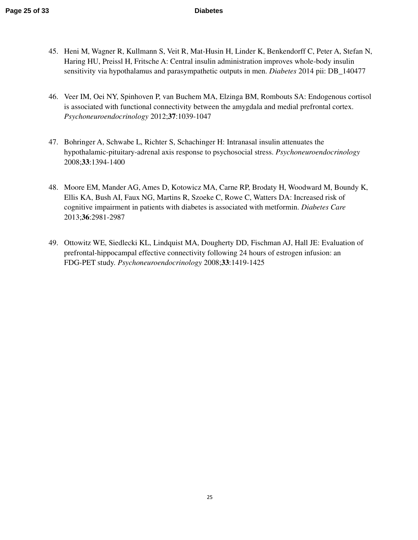- 45. Heni M, Wagner R, Kullmann S, Veit R, Mat-Husin H, Linder K, Benkendorff C, Peter A, Stefan N, Haring HU, Preissl H, Fritsche A: Central insulin administration improves whole-body insulin sensitivity via hypothalamus and parasympathetic outputs in men. *Diabetes* 2014 pii: DB\_140477
- 46. Veer IM, Oei NY, Spinhoven P, van Buchem MA, Elzinga BM, Rombouts SA: Endogenous cortisol is associated with functional connectivity between the amygdala and medial prefrontal cortex. *Psychoneuroendocrinology* 2012;**37**:1039-1047
- 47. Bohringer A, Schwabe L, Richter S, Schachinger H: Intranasal insulin attenuates the hypothalamic-pituitary-adrenal axis response to psychosocial stress. *Psychoneuroendocrinology* 2008;**33**:1394-1400
- 48. Moore EM, Mander AG, Ames D, Kotowicz MA, Carne RP, Brodaty H, Woodward M, Boundy K, Ellis KA, Bush AI, Faux NG, Martins R, Szoeke C, Rowe C, Watters DA: Increased risk of cognitive impairment in patients with diabetes is associated with metformin. *Diabetes Care* 2013;**36**:2981-2987
- 49. Ottowitz WE, Siedlecki KL, Lindquist MA, Dougherty DD, Fischman AJ, Hall JE: Evaluation of prefrontal-hippocampal effective connectivity following 24 hours of estrogen infusion: an FDG-PET study. *Psychoneuroendocrinology* 2008;**33**:1419-1425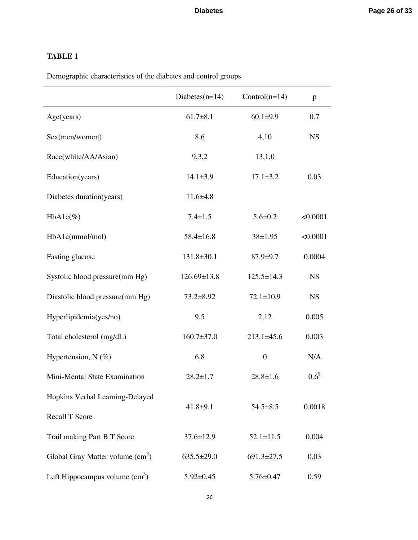# **TABLE 1**

Demographic characteristics of the diabetes and control groups

|                                   | Diabetes $(n=14)$ | $Control(n=14)$  | p                |
|-----------------------------------|-------------------|------------------|------------------|
| Age(years)                        | $61.7 \pm 8.1$    | $60.1 \pm 9.9$   | 0.7              |
| Sex(men/women)                    | 8,6               | 4,10             | <b>NS</b>        |
| Race(white/AA/Asian)              | 9,3,2             | 13,1,0           |                  |
| Education(years)                  | $14.1 \pm 3.9$    | $17.1 \pm 3.2$   | 0.03             |
| Diabetes duration(years)          | $11.6{\pm}4.8$    |                  |                  |
| $HbA1c(\%)$                       | $7.4 \pm 1.5$     | $5.6 \pm 0.2$    | < 0.0001         |
| HbA1c(mmol/mol)                   | $58.4 \pm 16.8$   | 38±1.95          | < 0.0001         |
| Fasting glucose                   | $131.8 \pm 30.1$  | $87.9 \pm 9.7$   | 0.0004           |
| Systolic blood pressure(mm Hg)    | $126.69 \pm 13.8$ | $125.5 \pm 14.3$ | <b>NS</b>        |
| Diastolic blood pressure(mm Hg)   | $73.2 \pm 8.92$   | $72.1 \pm 10.9$  | <b>NS</b>        |
| Hyperlipidemia(yes/no)            | 9,5               | 2,12             | 0.005            |
| Total cholesterol (mg/dL)         | $160.7 \pm 37.0$  | $213.1 \pm 45.6$ | 0.003            |
| Hypertension, $N$ (%)             | 6,8               | $\boldsymbol{0}$ | N/A              |
| Mini-Mental State Examination     | $28.2 \pm 1.7$    | $28.8 \pm 1.6$   | 0.6 <sup>§</sup> |
| Hopkins Verbal Learning-Delayed   |                   |                  |                  |
| <b>Recall T Score</b>             | $41.8 + 9.1$      | $54.5 \pm 8.5$   | 0.0018           |
| Trail making Part B T Score       | $37.6 \pm 12.9$   | $52.1 \pm 11.5$  | 0.004            |
| Global Gray Matter volume $(cm3)$ | $635.5 \pm 29.0$  | $691.3 \pm 27.5$ | 0.03             |
| Left Hippocampus volume $(cm3)$   | $5.92 \pm 0.45$   | $5.76 \pm 0.47$  | 0.59             |

26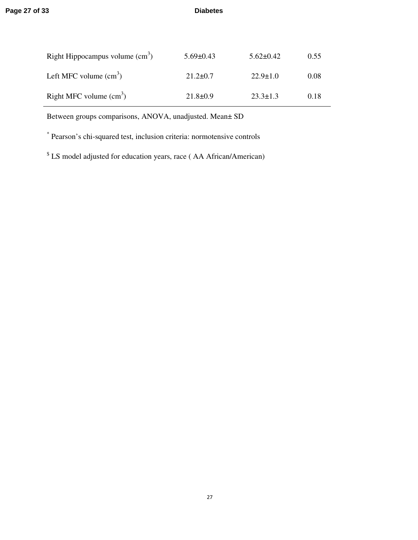| Right Hippocampus volume $\text{cm}^3$ ) | $5.69 \pm 0.43$ | $5.62 \pm 0.42$ | 0.55 |
|------------------------------------------|-----------------|-----------------|------|
| Left MFC volume $(cm3)$                  | $21.2 \pm 0.7$  | $22.9 \pm 1.0$  | 0.08 |
| Right MFC volume $\text{cm}^3$ )         | $21.8 \pm 0.9$  | $23.3 \pm 1.3$  | 0.18 |

Between groups comparisons, ANOVA, unadjusted. Mean± SD

\* Pearson's chi-squared test, inclusion criteria: normotensive controls

<sup>\$</sup> LS model adjusted for education years, race (AA African/American)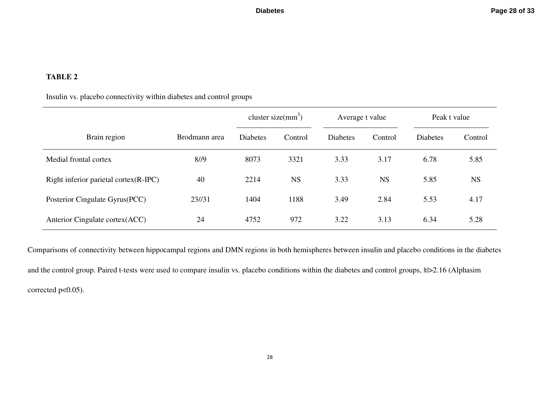# **TABLE 2**

# Insulin vs. placebo connectivity within diabetes and control groups

|                                       |               | cluster size( $mm3$ ) |           | Average t value |           | Peak t value    |           |
|---------------------------------------|---------------|-----------------------|-----------|-----------------|-----------|-----------------|-----------|
| Brain region                          | Brodmann area | <b>Diabetes</b>       | Control   | <b>Diabetes</b> | Control   | <b>Diabetes</b> | Control   |
| Medial frontal cortex                 | 8/9           | 8073                  | 3321      | 3.33            | 3.17      | 6.78            | 5.85      |
| Right inferior parietal cortex(R-IPC) | 40            | 2214                  | <b>NS</b> | 3.33            | <b>NS</b> | 5.85            | <b>NS</b> |
| Posterior Cingulate Gyrus(PCC)        | 23/131        | 1404                  | 1188      | 3.49            | 2.84      | 5.53            | 4.17      |
| Anterior Cingulate cortex(ACC)        | 24            | 4752                  | 972       | 3.22            | 3.13      | 6.34            | 5.28      |

Comparisons of connectivity between hippocampal regions and DMN regions in both hemispheres between insulin and placebo conditions in the diabetes and the control group. Paired t-tests were used to compare insulin vs. placebo conditions within the diabetes and control groups, ltl>2.16 (Alphasim corrected p<0.05).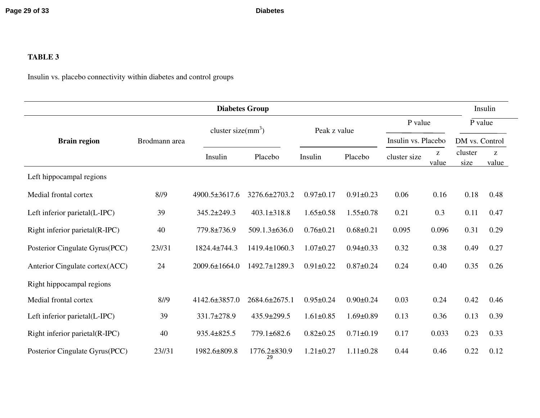# **TABLE 3**

Insulin vs. placebo connectivity within diabetes and control groups

| <b>Diabetes Group</b>          |               |                       |                    |                 |                 |                     | Insulin    |                 |                                                                |
|--------------------------------|---------------|-----------------------|--------------------|-----------------|-----------------|---------------------|------------|-----------------|----------------------------------------------------------------|
|                                | Brodmann area | cluster size( $mm3$ ) |                    | Peak z value    |                 | P value             |            | P value         |                                                                |
| <b>Brain region</b>            |               |                       |                    |                 |                 | Insulin vs. Placebo |            | DM vs. Control  |                                                                |
|                                |               | Insulin               | Placebo            | Insulin         | Placebo         | cluster size        | Z<br>value | cluster<br>size | $\mathbf{Z}% ^{T}=\mathbf{Z}^{T}\times\mathbf{Z}^{T}$<br>value |
| Left hippocampal regions       |               |                       |                    |                 |                 |                     |            |                 |                                                                |
| Medial frontal cortex          | 8/19          | 4900.5±3617.6         | 3276.6±2703.2      | $0.97 \pm 0.17$ | $0.91 \pm 0.23$ | 0.06                | 0.16       | 0.18            | 0.48                                                           |
| Left inferior parietal(L-IPC)  | 39            | $345.2 \pm 249.3$     | $403.1 \pm 318.8$  | $1.65 \pm 0.58$ | $1.55 \pm 0.78$ | 0.21                | 0.3        | 0.11            | 0.47                                                           |
| Right inferior parietal(R-IPC) | 40            | 779.8±736.9           | $509.1.3\pm 636.0$ | $0.76 \pm 0.21$ | $0.68 \pm 0.21$ | 0.095               | 0.096      | 0.31            | 0.29                                                           |
| Posterior Cingulate Gyrus(PCC) | 23//31        | 1824.4±744.3          | 1419.4±1060.3      | $1.07 \pm 0.27$ | $0.94 \pm 0.33$ | 0.32                | 0.38       | 0.49            | 0.27                                                           |
| Anterior Cingulate cortex(ACC) | 24            | 2009.6±1664.0         | 1492.7±1289.3      | $0.91 \pm 0.22$ | $0.87 \pm 0.24$ | 0.24                | 0.40       | 0.35            | 0.26                                                           |
| Right hippocampal regions      |               |                       |                    |                 |                 |                     |            |                 |                                                                |
| Medial frontal cortex          | 8/9           | 4142.6±3857.0         | 2684.6±2675.1      | $0.95 \pm 0.24$ | $0.90 \pm 0.24$ | 0.03                | 0.24       | 0.42            | 0.46                                                           |
| Left inferior parietal(L-IPC)  | 39            | 331.7±278.9           | 435.9±299.5        | $1.61 \pm 0.85$ | $1.69 \pm 0.89$ | 0.13                | 0.36       | 0.13            | 0.39                                                           |
| Right inferior parietal(R-IPC) | 40            | 935.4±825.5           | 779.1±682.6        | $0.82 \pm 0.25$ | $0.71 \pm 0.19$ | 0.17                | 0.033      | 0.23            | 0.33                                                           |
| Posterior Cingulate Gyrus(PCC) | 23/131        | 1982.6±809.8          | 1776.2±830.9<br>29 | $1.21 \pm 0.27$ | $1.11 \pm 0.28$ | 0.44                | 0.46       | 0.22            | 0.12                                                           |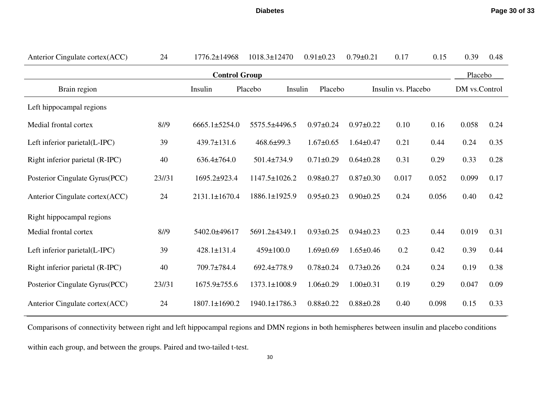**Diabetes**

| Anterior Cingulate cortex(ACC)  | 24     | 1776.2±14968                  | 1018.3±12470     | $0.91 \pm 0.23$ | $0.79 \pm 0.21$ | 0.17                | 0.15  | 0.39          | 0.48 |
|---------------------------------|--------|-------------------------------|------------------|-----------------|-----------------|---------------------|-------|---------------|------|
| <b>Control Group</b><br>Placebo |        |                               |                  |                 |                 |                     |       |               |      |
| Brain region                    |        | Insulin<br>Insulin<br>Placebo |                  | Placebo         |                 | Insulin vs. Placebo |       | DM vs.Control |      |
| Left hippocampal regions        |        |                               |                  |                 |                 |                     |       |               |      |
| Medial frontal cortex           | 8/9    | $6665.1 \pm 5254.0$           | 5575.5±4496.5    | $0.97 \pm 0.24$ | $0.97 \pm 0.22$ | 0.10                | 0.16  | 0.058         | 0.24 |
| Left inferior parietal(L-IPC)   | 39     | 439.7±131.6                   | $468.6 \pm 99.3$ | $1.67 \pm 0.65$ | $1.64 \pm 0.47$ | 0.21                | 0.44  | 0.24          | 0.35 |
| Right inferior parietal (R-IPC) | 40     | $636.4 \pm 764.0$             | 501.4±734.9      | $0.71 \pm 0.29$ | $0.64 \pm 0.28$ | 0.31                | 0.29  | 0.33          | 0.28 |
| Posterior Cingulate Gyrus(PCC)  | 23//31 | 1695.2±923.4                  | 1147.5±1026.2    | $0.98 \pm 0.27$ | $0.87 \pm 0.30$ | 0.017               | 0.052 | 0.099         | 0.17 |
| Anterior Cingulate cortex(ACC)  | 24     | 2131.1±1670.4                 | 1886.1±1925.9    | $0.95 \pm 0.23$ | $0.90 \pm 0.25$ | 0.24                | 0.056 | 0.40          | 0.42 |
| Right hippocampal regions       |        |                               |                  |                 |                 |                     |       |               |      |
| Medial frontal cortex           | 8/9    | 5402.0±49617                  | 5691.2±4349.1    | $0.93 \pm 0.25$ | $0.94 \pm 0.23$ | 0.23                | 0.44  | 0.019         | 0.31 |
| Left inferior parietal(L-IPC)   | 39     | 428.1±131.4                   | $459 \pm 100.0$  | $1.69 \pm 0.69$ | $1.65 \pm 0.46$ | 0.2                 | 0.42  | 0.39          | 0.44 |
| Right inferior parietal (R-IPC) | 40     | 709.7±784.4                   | 692.4±778.9      | $0.78 \pm 0.24$ | $0.73 \pm 0.26$ | 0.24                | 0.24  | 0.19          | 0.38 |
| Posterior Cingulate Gyrus(PCC)  | 23//31 | 1675.9±755.6                  | 1373.1±1008.9    | $1.06 \pm 0.29$ | $1.00 \pm 0.31$ | 0.19                | 0.29  | 0.047         | 0.09 |
| Anterior Cingulate cortex(ACC)  | 24     | 1807.1±1690.2                 | 1940.1±1786.3    | $0.88 \pm 0.22$ | $0.88 \pm 0.28$ | 0.40                | 0.098 | 0.15          | 0.33 |

Comparisons of connectivity between right and left hippocampal regions and DMN regions in both hemispheres between insulin and placebo conditions

within each group, and between the groups. Paired and two-tailed t-test.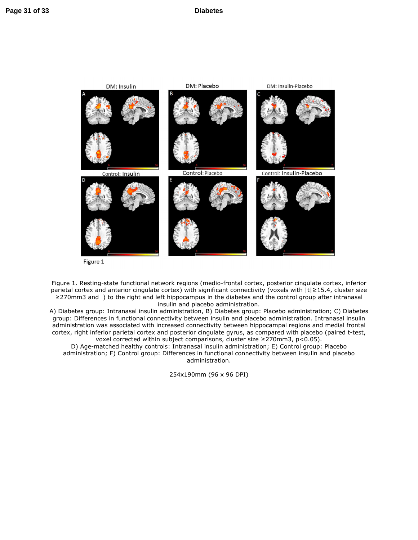

Figure 1

Figure 1. Resting-state functional network regions (medio-frontal cortex, posterior cingulate cortex, inferior parietal cortex and anterior cingulate cortex) with significant connectivity (voxels with  $|t|≥15.4$ , cluster size ≥270mm3 and ) to the right and left hippocampus in the diabetes and the control group after intranasal insulin and placebo administration.

A) Diabetes group: Intranasal insulin administration, B) Diabetes group: Placebo administration; C) Diabetes group: Differences in functional connectivity between insulin and placebo administration. Intranasal insulin administration was associated with increased connectivity between hippocampal regions and medial frontal cortex, right inferior parietal cortex and posterior cingulate gyrus, as compared with placebo (paired t-test, voxel corrected within subject comparisons, cluster size ≥270mm3, p<0.05).

D) Age-matched healthy controls: Intranasal insulin administration; E) Control group: Placebo administration; F) Control group: Differences in functional connectivity between insulin and placebo administration.

254x190mm (96 x 96 DPI)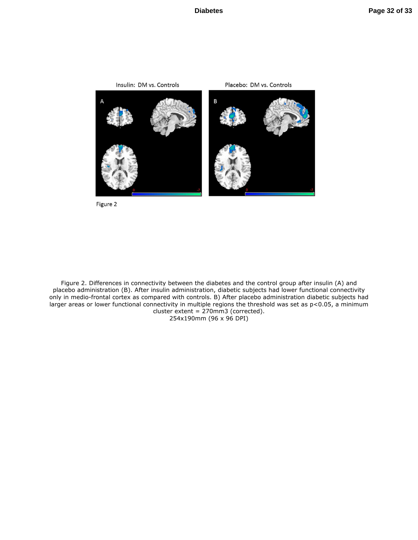

Figure 2

Figure 2. Differences in connectivity between the diabetes and the control group after insulin (A) and placebo administration (B). After insulin administration, diabetic subjects had lower functional connectivity only in medio-frontal cortex as compared with controls. B) After placebo administration diabetic subjects had larger areas or lower functional connectivity in multiple regions the threshold was set as p<0.05, a minimum cluster extent = 270mm3 (corrected).

254x190mm (96 x 96 DPI)